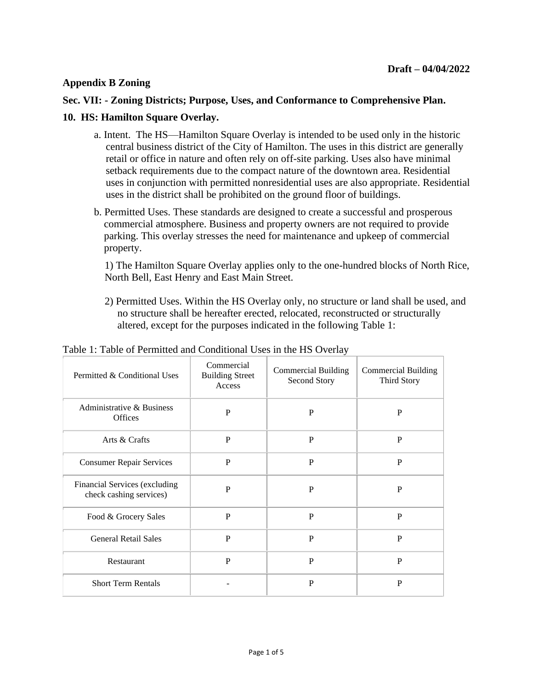## **Appendix B Zoning**

## **Sec. VII: - Zoning Districts; Purpose, Uses, and Conformance to Comprehensive Plan.**

## **10. HS: Hamilton Square Overlay.**

- a. Intent.The HS—Hamilton Square Overlay is intended to be used only in the historic central business district of the City of Hamilton. The uses in this district are generally retail or office in nature and often rely on off-site parking. Uses also have minimal setback requirements due to the compact nature of the downtown area. Residential uses in conjunction with permitted nonresidential uses are also appropriate. Residential uses in the district shall be prohibited on the ground floor of buildings.
- b. Permitted Uses. These standards are designed to create a successful and prosperous commercial atmosphere. Business and property owners are not required to provide parking. This overlay stresses the need for maintenance and upkeep of commercial property.

1) The Hamilton Square Overlay applies only to the one-hundred blocks of North Rice, North Bell, East Henry and East Main Street.

2) Permitted Uses. Within the HS Overlay only, no structure or land shall be used, and no structure shall be hereafter erected, relocated, reconstructed or structurally altered, except for the purposes indicated in the following Table 1:

| $\sigma$ . There of I chinteed and Conditional CbCb in the Tip $\sigma$ (city) |                                                |                                            |                                           |  |
|--------------------------------------------------------------------------------|------------------------------------------------|--------------------------------------------|-------------------------------------------|--|
| Permitted & Conditional Uses                                                   | Commercial<br><b>Building Street</b><br>Access | <b>Commercial Building</b><br>Second Story | Commercial Building<br><b>Third Story</b> |  |
| Administrative & Business<br><b>Offices</b>                                    | P                                              | P                                          | P                                         |  |
| Arts & Crafts                                                                  | $\mathbf P$                                    | P                                          | P                                         |  |
| <b>Consumer Repair Services</b>                                                | P                                              | P                                          | P                                         |  |
| Financial Services (excluding<br>check cashing services)                       | P                                              | P                                          | P                                         |  |
| Food & Grocery Sales                                                           | P                                              | P                                          | P                                         |  |

General Retail Sales P P P

Short Term Rentals - P P

Restaurant P P P P P P

Table 1: Table of Permitted and Conditional Uses in the HS Overlay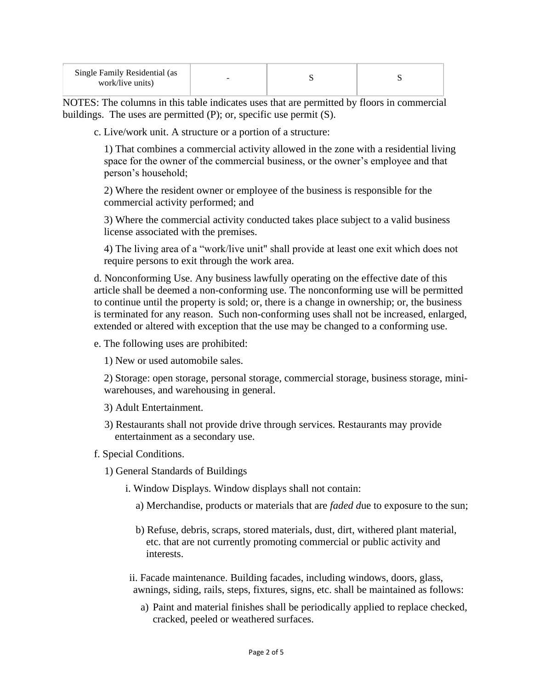| Single Family Residential (as<br>work/live units) | - |  |
|---------------------------------------------------|---|--|
|                                                   |   |  |

NOTES: The columns in this table indicates uses that are permitted by floors in commercial buildings. The uses are permitted (P); or, specific use permit (S).

c. Live/work unit. A structure or a portion of a structure:

1) That combines a commercial activity allowed in the zone with a residential living space for the owner of the commercial business, or the owner's employee and that person's household;

2) Where the resident owner or employee of the business is responsible for the commercial activity performed; and

3) Where the commercial activity conducted takes place subject to a valid business license associated with the premises.

4) The living area of a "work/live unit" shall provide at least one exit which does not require persons to exit through the work area.

d. Nonconforming Use. Any business lawfully operating on the effective date of this article shall be deemed a non-conforming use. The nonconforming use will be permitted to continue until the property is sold; or, there is a change in ownership; or, the business is terminated for any reason. Such non-conforming uses shall not be increased, enlarged, extended or altered with exception that the use may be changed to a conforming use.

e. The following uses are prohibited:

1) New or used automobile sales.

2) Storage: open storage, personal storage, commercial storage, business storage, miniwarehouses, and warehousing in general.

- 3) Adult Entertainment.
- 3) Restaurants shall not provide drive through services. Restaurants may provide entertainment as a secondary use.

f. Special Conditions.

1) General Standards of Buildings

- i. Window Displays. Window displays shall not contain:
	- a) Merchandise, products or materials that are *faded d*ue to exposure to the sun;
	- b) Refuse, debris, scraps, stored materials, dust, dirt, withered plant material, etc. that are not currently promoting commercial or public activity and interests.

ii. Facade maintenance. Building facades, including windows, doors, glass, awnings, siding, rails, steps, fixtures, signs, etc. shall be maintained as follows:

a) Paint and material finishes shall be periodically applied to replace checked, cracked, peeled or weathered surfaces.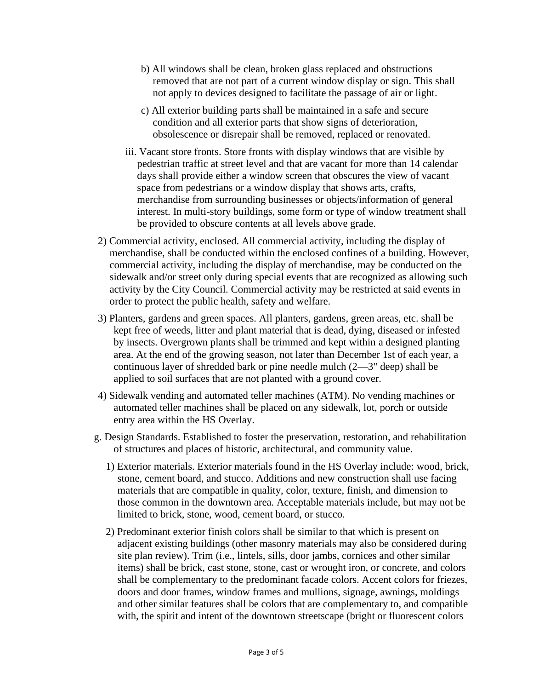- b) All windows shall be clean, broken glass replaced and obstructions removed that are not part of a current window display or sign. This shall not apply to devices designed to facilitate the passage of air or light.
- c) All exterior building parts shall be maintained in a safe and secure condition and all exterior parts that show signs of deterioration, obsolescence or disrepair shall be removed, replaced or renovated.
- iii. Vacant store fronts. Store fronts with display windows that are visible by pedestrian traffic at street level and that are vacant for more than 14 calendar days shall provide either a window screen that obscures the view of vacant space from pedestrians or a window display that shows arts, crafts, merchandise from surrounding businesses or objects/information of general interest. In multi-story buildings, some form or type of window treatment shall be provided to obscure contents at all levels above grade.
- 2) Commercial activity, enclosed. All commercial activity, including the display of merchandise, shall be conducted within the enclosed confines of a building. However, commercial activity, including the display of merchandise, may be conducted on the sidewalk and/or street only during special events that are recognized as allowing such activity by the City Council. Commercial activity may be restricted at said events in order to protect the public health, safety and welfare.
- 3) Planters, gardens and green spaces. All planters, gardens, green areas, etc. shall be kept free of weeds, litter and plant material that is dead, dying, diseased or infested by insects. Overgrown plants shall be trimmed and kept within a designed planting area. At the end of the growing season, not later than December 1st of each year, a continuous layer of shredded bark or pine needle mulch (2—3" deep) shall be applied to soil surfaces that are not planted with a ground cover.
- 4) Sidewalk vending and automated teller machines (ATM). No vending machines or automated teller machines shall be placed on any sidewalk, lot, porch or outside entry area within the HS Overlay.
- g. Design Standards. Established to foster the preservation, restoration, and rehabilitation of structures and places of historic, architectural, and community value.
	- 1) Exterior materials. Exterior materials found in the HS Overlay include: wood, brick, stone, cement board, and stucco. Additions and new construction shall use facing materials that are compatible in quality, color, texture, finish, and dimension to those common in the downtown area. Acceptable materials include, but may not be limited to brick, stone, wood, cement board, or stucco.
	- 2) Predominant exterior finish colors shall be similar to that which is present on adjacent existing buildings (other masonry materials may also be considered during site plan review). Trim (i.e., lintels, sills, door jambs, cornices and other similar items) shall be brick, cast stone, stone, cast or wrought iron, or concrete, and colors shall be complementary to the predominant facade colors. Accent colors for friezes, doors and door frames, window frames and mullions, signage, awnings, moldings and other similar features shall be colors that are complementary to, and compatible with, the spirit and intent of the downtown streetscape (bright or fluorescent colors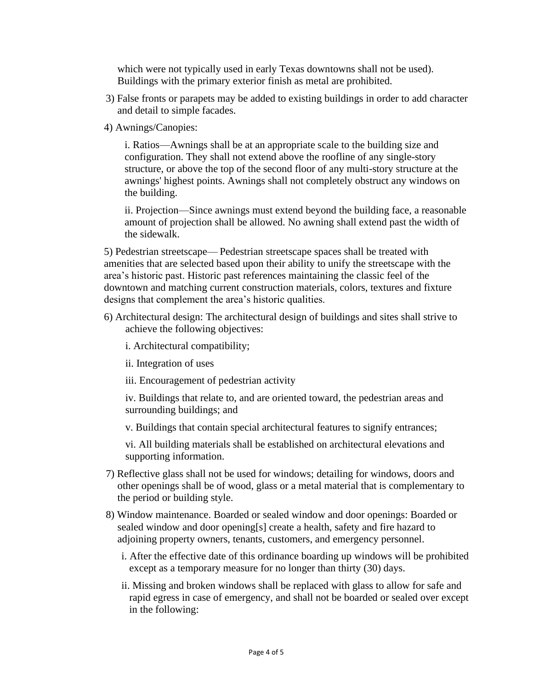which were not typically used in early Texas downtowns shall not be used). Buildings with the primary exterior finish as metal are prohibited.

- 3) False fronts or parapets may be added to existing buildings in order to add character and detail to simple facades.
- 4) Awnings/Canopies:

i. Ratios—Awnings shall be at an appropriate scale to the building size and configuration. They shall not extend above the roofline of any single-story structure, or above the top of the second floor of any multi-story structure at the awnings' highest points. Awnings shall not completely obstruct any windows on the building.

ii. Projection—Since awnings must extend beyond the building face, a reasonable amount of projection shall be allowed. No awning shall extend past the width of the sidewalk.

5) Pedestrian streetscape— Pedestrian streetscape spaces shall be treated with amenities that are selected based upon their ability to unify the streetscape with the area's historic past. Historic past references maintaining the classic feel of the downtown and matching current construction materials, colors, textures and fixture designs that complement the area's historic qualities.

- 6) Architectural design: The architectural design of buildings and sites shall strive to achieve the following objectives:
	- i. Architectural compatibility;
	- ii. Integration of uses
	- iii. Encouragement of pedestrian activity

iv. Buildings that relate to, and are oriented toward, the pedestrian areas and surrounding buildings; and

v. Buildings that contain special architectural features to signify entrances;

vi. All building materials shall be established on architectural elevations and supporting information.

- 7) Reflective glass shall not be used for windows; detailing for windows, doors and other openings shall be of wood, glass or a metal material that is complementary to the period or building style.
- 8) Window maintenance. Boarded or sealed window and door openings: Boarded or sealed window and door opening[s] create a health, safety and fire hazard to adjoining property owners, tenants, customers, and emergency personnel.
	- i. After the effective date of this ordinance boarding up windows will be prohibited except as a temporary measure for no longer than thirty (30) days.
	- ii. Missing and broken windows shall be replaced with glass to allow for safe and rapid egress in case of emergency, and shall not be boarded or sealed over except in the following: